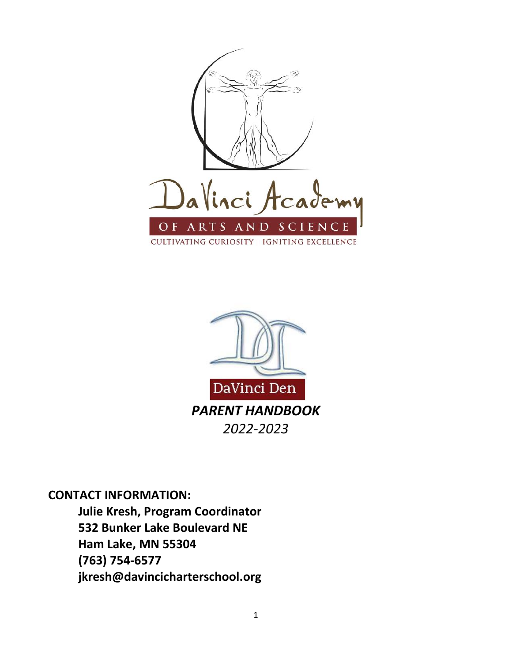



**CONTACT INFORMATION:**

**Julie Kresh, Program Coordinator 532 Bunker Lake Boulevard NE Ham Lake, MN 55304 (763) 754-6577 jkresh@davincicharterschool.org**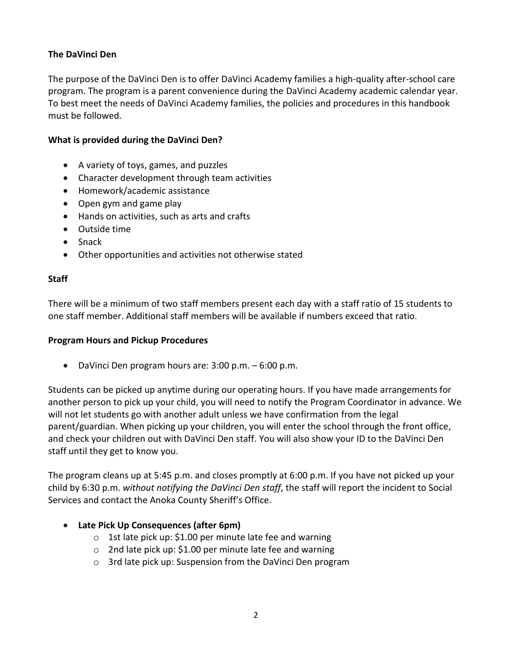# **The DaVinci Den**

The purpose of the DaVinci Den is to offer DaVinci Academy families a high-quality after-school care program. The program is a parent convenience during the DaVinci Academy academic calendar year. To best meet the needs of DaVinci Academy families, the policies and procedures in this handbook must be followed.

### **What is provided during the DaVinci Den?**

- A variety of toys, games, and puzzles
- Character development through team activities
- Homework/academic assistance
- Open gym and game play
- Hands on activities, such as arts and crafts
- Outside time
- Snack
- Other opportunities and activities not otherwise stated

#### **Staff**

There will be a minimum of two staff members present each day with a staff ratio of 15 students to one staff member. Additional staff members will be available if numbers exceed that ratio.

#### **Program Hours and Pickup Procedures**

• DaVinci Den program hours are: 3:00 p.m. – 6:00 p.m.

Students can be picked up anytime during our operating hours. If you have made arrangements for another person to pick up your child, you will need to notify the Program Coordinator in advance. We will not let students go with another adult unless we have confirmation from the legal parent/guardian. When picking up your children, you will enter the school through the front office, and check your children out with DaVinci Den staff. You will also show your ID to the DaVinci Den staff until they get to know you.

The program cleans up at 5:45 p.m. and closes promptly at 6:00 p.m. If you have not picked up your child by 6:30 p.m. *without notifying the DaVinci Den staff*, the staff will report the incident to Social Services and contact the Anoka County Sheriff's Office.

#### • **Late Pick Up Consequences (after 6pm)**

- o 1st late pick up: \$1.00 per minute late fee and warning
- $\circ$  2nd late pick up: \$1.00 per minute late fee and warning
- o 3rd late pick up: Suspension from the DaVinci Den program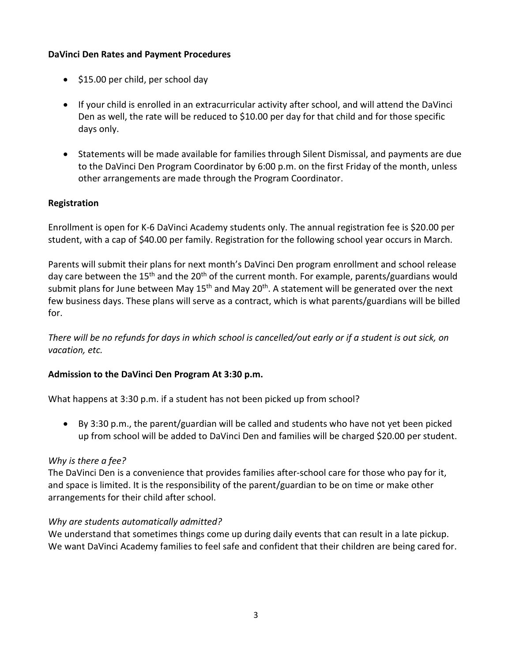# **DaVinci Den Rates and Payment Procedures**

- \$15.00 per child, per school day
- If your child is enrolled in an extracurricular activity after school, and will attend the DaVinci Den as well, the rate will be reduced to \$10.00 per day for that child and for those specific days only.
- Statements will be made available for families through Silent Dismissal, and payments are due to the DaVinci Den Program Coordinator by 6:00 p.m. on the first Friday of the month, unless other arrangements are made through the Program Coordinator.

# **Registration**

Enrollment is open for K-6 DaVinci Academy students only. The annual registration fee is \$20.00 per student, with a cap of \$40.00 per family. Registration for the following school year occurs in March.

Parents will submit their plans for next month's DaVinci Den program enrollment and school release day care between the 15<sup>th</sup> and the 20<sup>th</sup> of the current month. For example, parents/guardians would submit plans for June between May 15<sup>th</sup> and May 20<sup>th</sup>. A statement will be generated over the next few business days. These plans will serve as a contract, which is what parents/guardians will be billed for.

*There will be no refunds for days in which school is cancelled/out early or if a student is out sick, on vacation, etc.*

# **Admission to the DaVinci Den Program At 3:30 p.m.**

What happens at 3:30 p.m. if a student has not been picked up from school?

• By 3:30 p.m., the parent/guardian will be called and students who have not yet been picked up from school will be added to DaVinci Den and families will be charged \$20.00 per student.

#### *Why is there a fee?*

The DaVinci Den is a convenience that provides families after-school care for those who pay for it, and space is limited. It is the responsibility of the parent/guardian to be on time or make other arrangements for their child after school.

# *Why are students automatically admitted?*

We understand that sometimes things come up during daily events that can result in a late pickup. We want DaVinci Academy families to feel safe and confident that their children are being cared for.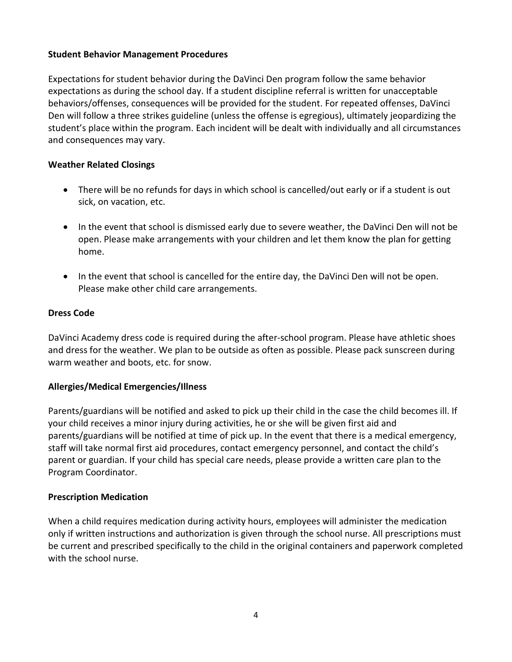### **Student Behavior Management Procedures**

Expectations for student behavior during the DaVinci Den program follow the same behavior expectations as during the school day. If a student discipline referral is written for unacceptable behaviors/offenses, consequences will be provided for the student. For repeated offenses, DaVinci Den will follow a three strikes guideline (unless the offense is egregious), ultimately jeopardizing the student's place within the program. Each incident will be dealt with individually and all circumstances and consequences may vary.

# **Weather Related Closings**

- There will be no refunds for days in which school is cancelled/out early or if a student is out sick, on vacation, etc.
- In the event that school is dismissed early due to severe weather, the DaVinci Den will not be open. Please make arrangements with your children and let them know the plan for getting home.
- In the event that school is cancelled for the entire day, the DaVinci Den will not be open. Please make other child care arrangements.

### **Dress Code**

DaVinci Academy dress code is required during the after-school program. Please have athletic shoes and dress for the weather. We plan to be outside as often as possible. Please pack sunscreen during warm weather and boots, etc. for snow.

# **Allergies/Medical Emergencies/Illness**

Parents/guardians will be notified and asked to pick up their child in the case the child becomes ill. If your child receives a minor injury during activities, he or she will be given first aid and parents/guardians will be notified at time of pick up. In the event that there is a medical emergency, staff will take normal first aid procedures, contact emergency personnel, and contact the child's parent or guardian. If your child has special care needs, please provide a written care plan to the Program Coordinator.

#### **Prescription Medication**

When a child requires medication during activity hours, employees will administer the medication only if written instructions and authorization is given through the school nurse. All prescriptions must be current and prescribed specifically to the child in the original containers and paperwork completed with the school nurse.